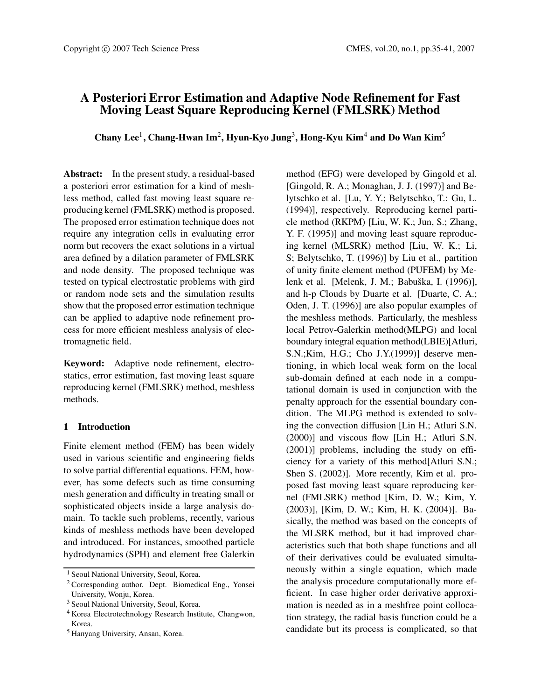# **A Posteriori Error Estimation and Adaptive Node Refinement for Fast Moving Least Square Reproducing Kernel (FMLSRK) Method**

**Chany Lee**1**, Chang-Hwan Im**2**, Hyun-Kyo Jung**3**, Hong-Kyu Kim**<sup>4</sup> **and Do Wan Kim**<sup>5</sup>

**Abstract:** In the present study, a residual-based a posteriori error estimation for a kind of meshless method, called fast moving least square reproducing kernel (FMLSRK) method is proposed. The proposed error estimation technique does not require any integration cells in evaluating error norm but recovers the exact solutions in a virtual area defined by a dilation parameter of FMLSRK and node density. The proposed technique was tested on typical electrostatic problems with gird or random node sets and the simulation results show that the proposed error estimation technique can be applied to adaptive node refinement process for more efficient meshless analysis of electromagnetic field.

**Keyword:** Adaptive node refinement, electrostatics, error estimation, fast moving least square reproducing kernel (FMLSRK) method, meshless methods.

### **1 Introduction**

Finite element method (FEM) has been widely used in various scientific and engineering fields to solve partial differential equations. FEM, however, has some defects such as time consuming mesh generation and difficulty in treating small or sophisticated objects inside a large analysis domain. To tackle such problems, recently, various kinds of meshless methods have been developed and introduced. For instances, smoothed particle hydrodynamics (SPH) and element free Galerkin method (EFG) were developed by Gingold et al. [Gingold, R. A.; Monaghan, J. J.  $(1997)$ ] and Belytschko et al. [Lu, Y. Y.; Belytschko, T.: Gu, L. (1994)], respectively. Reproducing kernel particle method (RKPM) [Liu, W. K.; Jun, S.; Zhang, Y. F. (1995)] and moving least square reproducing kernel (MLSRK) method [Liu, W. K.; Li, S; Belytschko, T. (1996)] by Liu et al., partition of unity finite element method (PUFEM) by Melenk et al. [Melenk, J. M.; Babuška, I. (1996)], and h-p Clouds by Duarte et al. [Duarte, C. A.; Oden, J. T. (1996)] are also popular examples of the meshless methods. Particularly, the meshless local Petrov-Galerkin method(MLPG) and local boundary integral equation method(LBIE)[Atluri, S.N.;Kim, H.G.; Cho J.Y.(1999)] deserve mentioning, in which local weak form on the local sub-domain defined at each node in a computational domain is used in conjunction with the penalty approach for the essential boundary condition. The MLPG method is extended to solving the convection diffusion [Lin H.; Atluri S.N. (2000)] and viscous flow [Lin H.; Atluri S.N. (2001)] problems, including the study on efficiency for a variety of this method[Atluri S.N.; Shen S. (2002)]. More recently, Kim et al. proposed fast moving least square reproducing kernel (FMLSRK) method [Kim, D. W.; Kim, Y. (2003)], [Kim, D. W.; Kim, H. K. (2004)]. Basically, the method was based on the concepts of the MLSRK method, but it had improved characteristics such that both shape functions and all of their derivatives could be evaluated simultaneously within a single equation, which made the analysis procedure computationally more efficient. In case higher order derivative approximation is needed as in a meshfree point collocation strategy, the radial basis function could be a candidate but its process is complicated, so that

<sup>&</sup>lt;sup>1</sup> Seoul National University, Seoul, Korea.

<sup>2</sup> Corresponding author. Dept. Biomedical Eng., Yonsei University, Wonju, Korea.

<sup>3</sup> Seoul National University, Seoul, Korea.

<sup>4</sup> Korea Electrotechnology Research Institute, Changwon, Korea.

<sup>5</sup> Hanyang University, Ansan, Korea.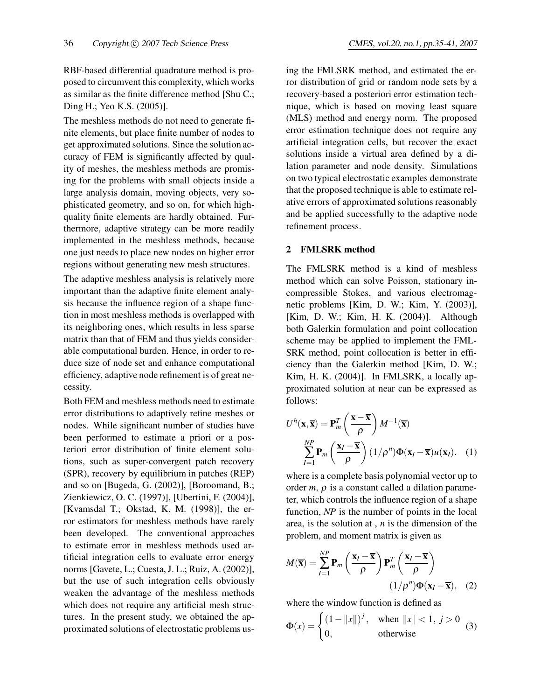RBF-based differential quadrature method is proposed to circumvent this complexity, which works as similar as the finite difference method [Shu C.; Ding H.; Yeo K.S. (2005)].

The meshless methods do not need to generate finite elements, but place finite number of nodes to get approximated solutions. Since the solution accuracy of FEM is significantly affected by quality of meshes, the meshless methods are promising for the problems with small objects inside a large analysis domain, moving objects, very sophisticated geometry, and so on, for which highquality finite elements are hardly obtained. Furthermore, adaptive strategy can be more readily implemented in the meshless methods, because one just needs to place new nodes on higher error regions without generating new mesh structures.

The adaptive meshless analysis is relatively more important than the adaptive finite element analysis because the influence region of a shape function in most meshless methods is overlapped with its neighboring ones, which results in less sparse matrix than that of FEM and thus yields considerable computational burden. Hence, in order to reduce size of node set and enhance computational efficiency, adaptive node refinement is of great necessity.

Both FEM and meshless methods need to estimate error distributions to adaptively refine meshes or nodes. While significant number of studies have been performed to estimate a priori or a posteriori error distribution of finite element solutions, such as super-convergent patch recovery (SPR), recovery by equilibrium in patches (REP) and so on [Bugeda, G. (2002)], [Boroomand, B.; Zienkiewicz, O. C. (1997)], [Ubertini, F. (2004)], [Kvamsdal T.; Okstad, K. M. (1998)], the error estimators for meshless methods have rarely been developed. The conventional approaches to estimate error in meshless methods used artificial integration cells to evaluate error energy norms [Gavete, L.; Cuesta, J. L.; Ruiz, A. (2002)], but the use of such integration cells obviously weaken the advantage of the meshless methods which does not require any artificial mesh structures. In the present study, we obtained the approximated solutions of electrostatic problems using the FMLSRK method, and estimated the error distribution of grid or random node sets by a recovery-based a posteriori error estimation technique, which is based on moving least square (MLS) method and energy norm. The proposed error estimation technique does not require any artificial integration cells, but recover the exact solutions inside a virtual area defined by a dilation parameter and node density. Simulations on two typical electrostatic examples demonstrate that the proposed technique is able to estimate relative errors of approximated solutions reasonably and be applied successfully to the adaptive node refinement process.

# **2 FMLSRK method**

The FMLSRK method is a kind of meshless method which can solve Poisson, stationary incompressible Stokes, and various electromagnetic problems [Kim, D. W.; Kim, Y. (2003)], [Kim, D. W.; Kim, H. K. (2004)]. Although both Galerkin formulation and point collocation scheme may be applied to implement the FML-SRK method, point collocation is better in efficiency than the Galerkin method [Kim, D. W.; Kim, H. K. (2004)]. In FMLSRK, a locally approximated solution at near can be expressed as follows:

$$
U^{h}(\mathbf{x}, \overline{\mathbf{x}}) = \mathbf{P}_{m}^{T} \left( \frac{\mathbf{x} - \overline{\mathbf{x}}}{\rho} \right) M^{-1}(\overline{\mathbf{x}})
$$

$$
\sum_{I=1}^{NP} \mathbf{P}_{m} \left( \frac{\mathbf{x}_{I} - \overline{\mathbf{x}}}{\rho} \right) (1/\rho^{n}) \Phi(\mathbf{x}_{I} - \overline{\mathbf{x}}) u(\mathbf{x}_{I}). \quad (1)
$$

where is a complete basis polynomial vector up to order  $m$ ,  $\rho$  is a constant called a dilation parameter, which controls the influence region of a shape function, *NP* is the number of points in the local area, is the solution at , *n* is the dimension of the problem, and moment matrix is given as

$$
M(\overline{\mathbf{x}}) = \sum_{I=1}^{NP} \mathbf{P}_m \left( \frac{\mathbf{x}_I - \overline{\mathbf{x}}}{\rho} \right) \mathbf{P}_m^T \left( \frac{\mathbf{x}_I - \overline{\mathbf{x}}}{\rho} \right)
$$

$$
(1/\rho^n) \Phi(\mathbf{x}_I - \overline{\mathbf{x}}), \quad (2)
$$

where the window function is defined as

$$
\Phi(x) = \begin{cases} (1 - ||x||)^j, & \text{when } ||x|| < 1, j > 0 \\ 0, & \text{otherwise} \end{cases}
$$
 (3)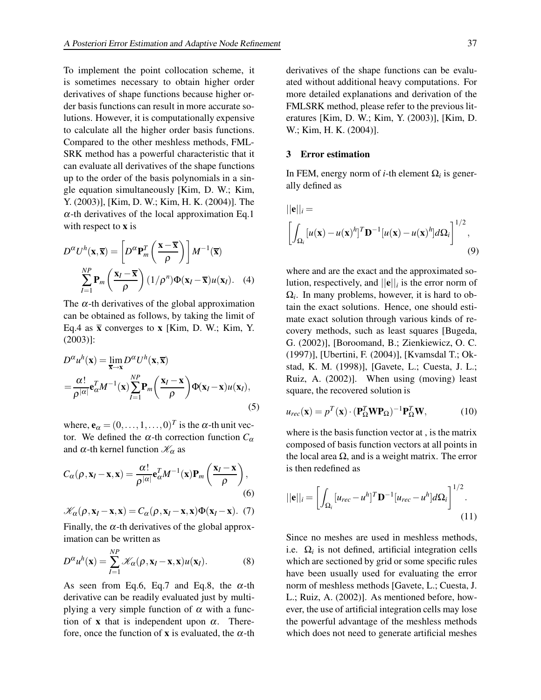To implement the point collocation scheme, it is sometimes necessary to obtain higher order derivatives of shape functions because higher order basis functions can result in more accurate solutions. However, it is computationally expensive to calculate all the higher order basis functions. Compared to the other meshless methods, FML-SRK method has a powerful characteristic that it can evaluate all derivatives of the shape functions up to the order of the basis polynomials in a single equation simultaneously [Kim, D. W.; Kim, Y. (2003)], [Kim, D. W.; Kim, H. K. (2004)]. The  $\alpha$ -th derivatives of the local approximation Eq.1 with respect to **x** is

$$
D^{\alpha}U^{h}(\mathbf{x}, \overline{\mathbf{x}}) = \left[D^{\alpha}\mathbf{P}_{m}^{T}\left(\frac{\mathbf{x} - \overline{\mathbf{x}}}{\rho}\right)\right]M^{-1}(\overline{\mathbf{x}})
$$

$$
\sum_{I=1}^{NP} \mathbf{P}_{m}\left(\frac{\mathbf{x}_{I} - \overline{\mathbf{x}}}{\rho}\right)(1/\rho^{n})\Phi(\mathbf{x}_{I} - \overline{\mathbf{x}})u(\mathbf{x}_{I}). \quad (4)
$$

The  $\alpha$ -th derivatives of the global approximation can be obtained as follows, by taking the limit of Eq.4 as  $\bar{x}$  converges to  $\bar{x}$  [Kim, D. W.; Kim, Y. (2003)]:

$$
D^{\alpha}u^{h}(\mathbf{x}) = \lim_{\overline{\mathbf{x}} \to \mathbf{x}} D^{\alpha}U^{h}(\mathbf{x}, \overline{\mathbf{x}})
$$
  
= 
$$
\frac{\alpha!}{\rho^{|\alpha|}} \mathbf{e}_{\alpha}^{T}M^{-1}(\mathbf{x}) \sum_{I=1}^{NP} \mathbf{P}_{m}\left(\frac{\mathbf{x}_{I} - \mathbf{x}}{\rho}\right) \Phi(\mathbf{x}_{I} - \mathbf{x})u(\mathbf{x}_{I}),
$$
 (5)

where,  $\mathbf{e}_{\alpha} = (0, \ldots, 1, \ldots, 0)^T$  is the  $\alpha$ -th unit vector. We defined the α-th correction function  $C_\alpha$ and  $\alpha$ -th kernel function  $\mathcal{K}_{\alpha}$  as

$$
C_{\alpha}(\rho, \mathbf{x}_{I} - \mathbf{x}, \mathbf{x}) = \frac{\alpha!}{\rho^{|\alpha|}} \mathbf{e}_{\alpha}^{T} M^{-1}(\mathbf{x}) \mathbf{P}_{m} \left( \frac{\mathbf{x}_{I} - \mathbf{x}}{\rho} \right),
$$
\n(6)

$$
\mathcal{K}_{\alpha}(\rho, \mathbf{x}_{I} - \mathbf{x}, \mathbf{x}) = C_{\alpha}(\rho, \mathbf{x}_{I} - \mathbf{x}, \mathbf{x}) \Phi(\mathbf{x}_{I} - \mathbf{x}). \tag{7}
$$
  
Finally, the  $\alpha$  the derivatives of the global approx

Finally, the  $\alpha$ -th derivatives of the global approximation can be written as

$$
D^{\alpha}u^{h}(\mathbf{x}) = \sum_{I=1}^{NP} \mathcal{K}_{\alpha}(\rho, \mathbf{x}_{I} - \mathbf{x}, \mathbf{x})u(\mathbf{x}_{I}).
$$
 (8)

As seen from Eq.6, Eq.7 and Eq.8, the  $\alpha$ -th derivative can be readily evaluated just by multiplying a very simple function of  $\alpha$  with a function of **x** that is independent upon  $\alpha$ . Therefore, once the function of **x** is evaluated, the  $\alpha$ -th derivatives of the shape functions can be evaluated without additional heavy computations. For more detailed explanations and derivation of the FMLSRK method, please refer to the previous literatures [Kim, D. W.; Kim, Y. (2003)], [Kim, D. W.; Kim, H. K. (2004)].

## **3 Error estimation**

In FEM, energy norm of *i*-th element Ω*<sup>i</sup>* is generally defined as

$$
||\mathbf{e}||_i =
$$

$$
\left[\int_{\Omega_i} [u(\mathbf{x}) - u(\mathbf{x})^h]^T \mathbf{D}^{-1} [u(\mathbf{x}) - u(\mathbf{x})^h] d\Omega_i\right]^{1/2},
$$

$$
(9)
$$

where and are the exact and the approximated solution, respectively, and  $||\mathbf{e}||_i$  is the error norm of  $\Omega_i$ . In many problems, however, it is hard to obtain the exact solutions. Hence, one should estimate exact solution through various kinds of recovery methods, such as least squares [Bugeda, G. (2002)], [Boroomand, B.; Zienkiewicz, O. C. (1997)], [Ubertini, F. (2004)], [Kvamsdal T.; Okstad, K. M. (1998)], [Gavete, L.; Cuesta, J. L.; Ruiz, A. (2002)]. When using (moving) least square, the recovered solution is

$$
u_{rec}(\mathbf{x}) = p^T(\mathbf{x}) \cdot (\mathbf{P}_{\Omega}^T \mathbf{W} \mathbf{P}_{\Omega})^{-1} \mathbf{P}_{\Omega}^T \mathbf{W},\tag{10}
$$

where is the basis function vector at , is the matrix composed of basis function vectors at all points in the local area  $Ω$ , and is a weight matrix. The error is then redefined as

$$
||\mathbf{e}||_i = \left[\int_{\Omega_i} [u_{rec} - u^h]^T \mathbf{D}^{-1} [u_{rec} - u^h] d\Omega_i\right]^{1/2}.
$$
\n(11)

Since no meshes are used in meshless methods, i.e.  $\Omega_i$  is not defined, artificial integration cells which are sectioned by grid or some specific rules have been usually used for evaluating the error norm of meshless methods [Gavete, L.; Cuesta, J. L.; Ruiz, A. (2002)]. As mentioned before, however, the use of artificial integration cells may lose the powerful advantage of the meshless methods which does not need to generate artificial meshes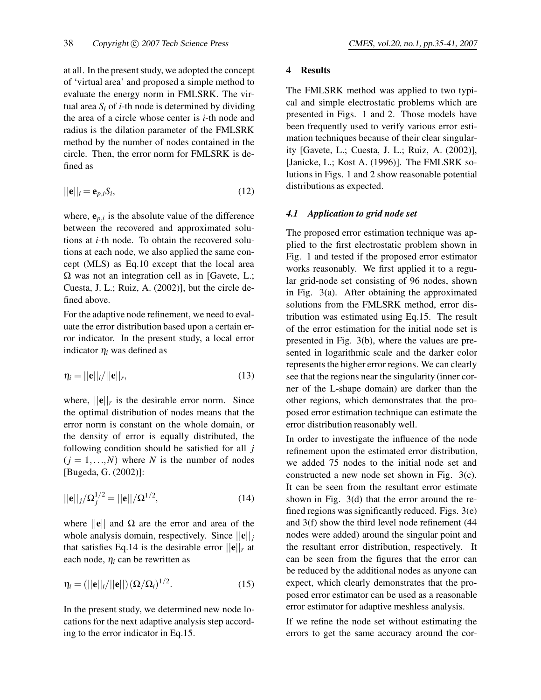at all. In the present study, we adopted the concept of 'virtual area' and proposed a simple method to evaluate the energy norm in FMLSRK. The virtual area  $S_i$  of *i*-th node is determined by dividing the area of a circle whose center is *i*-th node and radius is the dilation parameter of the FMLSRK method by the number of nodes contained in the circle. Then, the error norm for FMLSRK is defined as

$$
||\mathbf{e}||_i = \mathbf{e}_{p,i} S_i, \tag{12}
$$

where,  $\mathbf{e}_{p,i}$  is the absolute value of the difference between the recovered and approximated solutions at *i*-th node. To obtain the recovered solutions at each node, we also applied the same concept (MLS) as Eq.10 except that the local area  $\Omega$  was not an integration cell as in [Gavete, L.; Cuesta, J. L.; Ruiz, A. (2002)], but the circle defined above.

For the adaptive node refinement, we need to evaluate the error distribution based upon a certain error indicator. In the present study, a local error indicator  $\eta_i$  was defined as

$$
\eta_i = ||\mathbf{e}||_i / ||\mathbf{e}||_r,\tag{13}
$$

where,  $||\mathbf{e}||_r$  is the desirable error norm. Since the optimal distribution of nodes means that the error norm is constant on the whole domain, or the density of error is equally distributed, the following condition should be satisfied for all *j*  $(j = 1, \ldots, N)$  where *N* is the number of nodes [Bugeda, G. (2002)]:

$$
||\mathbf{e}||_j/\Omega_j^{1/2} = ||\mathbf{e}||/\Omega^{1/2},\tag{14}
$$

where  $||\mathbf{e}||$  and  $\Omega$  are the error and area of the whole analysis domain, respectively. Since ||**e**||*<sup>j</sup>* that satisfies Eq.14 is the desirable error  $||\mathbf{e}||_r$  at each node,  $\eta_i$  can be rewritten as

$$
\eta_i = (||\mathbf{e}||_i / ||\mathbf{e}||) (\Omega / \Omega_i)^{1/2}.
$$
 (15)

In the present study, we determined new node locations for the next adaptive analysis step according to the error indicator in Eq.15.

## **4 Results**

The FMLSRK method was applied to two typical and simple electrostatic problems which are presented in Figs. 1 and 2. Those models have been frequently used to verify various error estimation techniques because of their clear singularity [Gavete, L.; Cuesta, J. L.; Ruiz, A. (2002)], [Janicke, L.; Kost A. (1996)]. The FMLSRK solutions in Figs. 1 and 2 show reasonable potential distributions as expected.

## *4.1 Application to grid node set*

The proposed error estimation technique was applied to the first electrostatic problem shown in Fig. 1 and tested if the proposed error estimator works reasonably. We first applied it to a regular grid-node set consisting of 96 nodes, shown in Fig. 3(a). After obtaining the approximated solutions from the FMLSRK method, error distribution was estimated using Eq.15. The result of the error estimation for the initial node set is presented in Fig. 3(b), where the values are presented in logarithmic scale and the darker color represents the higher error regions. We can clearly see that the regions near the singularity (inner corner of the L-shape domain) are darker than the other regions, which demonstrates that the proposed error estimation technique can estimate the error distribution reasonably well.

In order to investigate the influence of the node refinement upon the estimated error distribution, we added 75 nodes to the initial node set and constructed a new node set shown in Fig. 3(c). It can be seen from the resultant error estimate shown in Fig. 3(d) that the error around the refined regions was significantly reduced. Figs. 3(e) and 3(f) show the third level node refinement (44 nodes were added) around the singular point and the resultant error distribution, respectively. It can be seen from the figures that the error can be reduced by the additional nodes as anyone can expect, which clearly demonstrates that the proposed error estimator can be used as a reasonable error estimator for adaptive meshless analysis.

If we refine the node set without estimating the errors to get the same accuracy around the cor-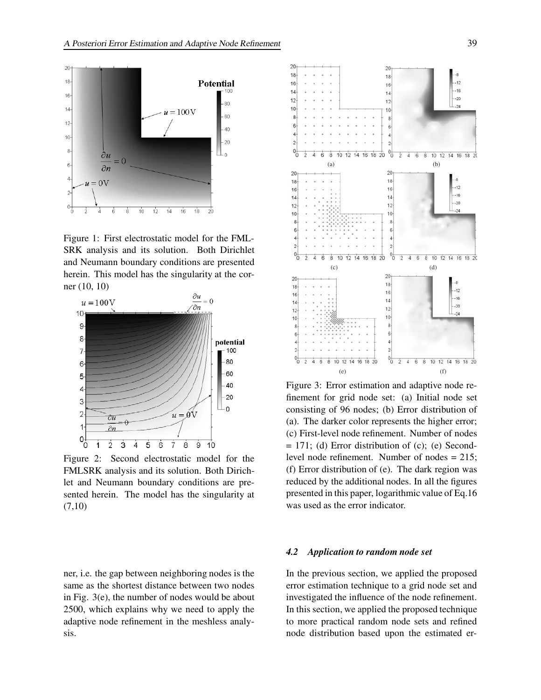

Figure 1: First electrostatic model for the FML-SRK analysis and its solution. Both Dirichlet and Neumann boundary conditions are presented herein. This model has the singularity at the corner (10, 10)



Figure 2: Second electrostatic model for the FMLSRK analysis and its solution. Both Dirichlet and Neumann boundary conditions are presented herein. The model has the singularity at (7,10)

ner, i.e. the gap between neighboring nodes is the same as the shortest distance between two nodes in Fig. 3(e), the number of nodes would be about 2500, which explains why we need to apply the adaptive node refinement in the meshless analysis.



Figure 3: Error estimation and adaptive node refinement for grid node set: (a) Initial node set consisting of 96 nodes; (b) Error distribution of (a). The darker color represents the higher error; (c) First-level node refinement. Number of nodes  $= 171$ ; (d) Error distribution of (c); (e) Secondlevel node refinement. Number of nodes = 215; (f) Error distribution of (e). The dark region was reduced by the additional nodes. In all the figures presented in this paper, logarithmic value of Eq.16 was used as the error indicator.

### *4.2 Application to random node set*

In the previous section, we applied the proposed error estimation technique to a grid node set and investigated the influence of the node refinement. In this section, we applied the proposed technique to more practical random node sets and refined node distribution based upon the estimated er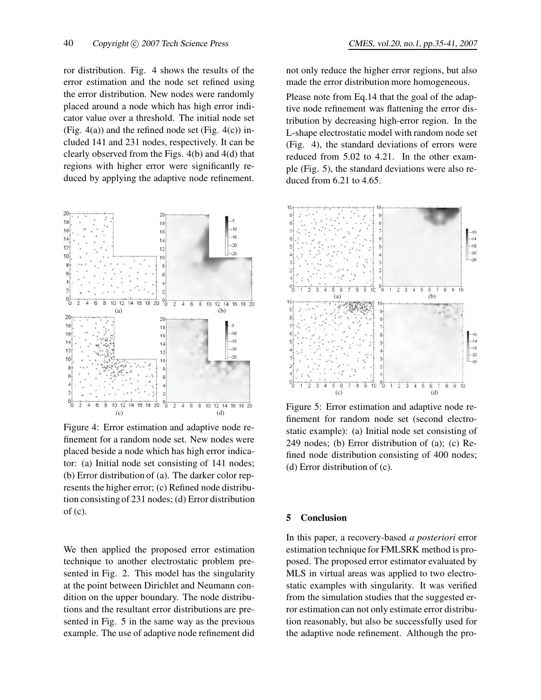ror distribution. Fig. 4 shows the results of the error estimation and the node set refined using the error distribution. New nodes were randomly placed around a node which has high error indicator value over a threshold. The initial node set (Fig.  $4(a)$ ) and the refined node set (Fig.  $4(c)$ ) included 141 and 231 nodes, respectively. It can be clearly observed from the Figs. 4(b) and 4(d) that regions with higher error were significantly reduced by applying the adaptive node refinement.



Figure 4: Error estimation and adaptive node refinement for a random node set. New nodes were placed beside a node which has high error indicator: (a) Initial node set consisting of 141 nodes; (b) Error distribution of (a). The darker color represents the higher error; (c) Refined node distribution consisting of 231 nodes; (d) Error distribution of (c).

We then applied the proposed error estimation technique to another electrostatic problem presented in Fig. 2. This model has the singularity at the point between Dirichlet and Neumann condition on the upper boundary. The node distributions and the resultant error distributions are presented in Fig. 5 in the same way as the previous example. The use of adaptive node refinement did not only reduce the higher error regions, but also made the error distribution more homogeneous.

Please note from Eq.14 that the goal of the adaptive node refinement was flattening the error distribution by decreasing high-error region. In the L-shape electrostatic model with random node set (Fig. 4), the standard deviations of errors were reduced from 5.02 to 4.21. In the other example (Fig. 5), the standard deviations were also reduced from 6.21 to 4.65.



Figure 5: Error estimation and adaptive node refinement for random node set (second electrostatic example): (a) Initial node set consisting of 249 nodes; (b) Error distribution of (a); (c) Refined node distribution consisting of 400 nodes; (d) Error distribution of (c).

### **5 Conclusion**

In this paper, a recovery-based *a posteriori* error estimation technique for FMLSRK method is proposed. The proposed error estimator evaluated by MLS in virtual areas was applied to two electrostatic examples with singularity. It was verified from the simulation studies that the suggested error estimation can not only estimate error distribution reasonably, but also be successfully used for the adaptive node refinement. Although the pro